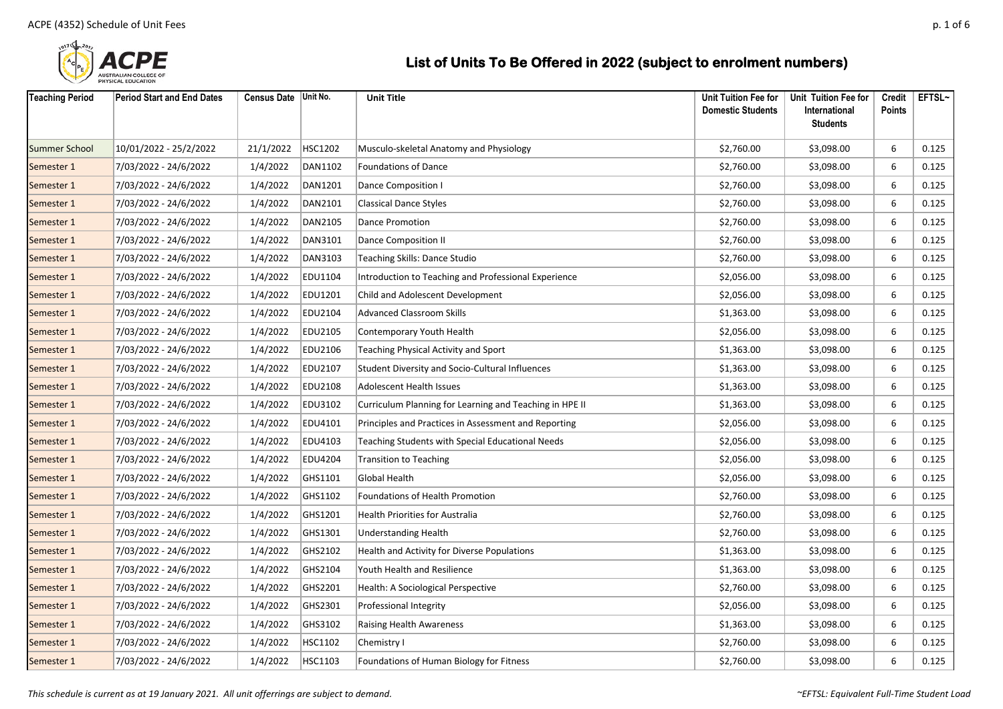

| <b>Teaching Period</b> | <b>Period Start and End Dates</b> | Census Date Unit No. |                | <b>Unit Title</b>                                       | Unit Tuition Fee for<br><b>Domestic Students</b> | Unit Tuition Fee for<br>International<br><b>Students</b> | Credit<br><b>Points</b> | EFTSL~ |
|------------------------|-----------------------------------|----------------------|----------------|---------------------------------------------------------|--------------------------------------------------|----------------------------------------------------------|-------------------------|--------|
| <b>Summer School</b>   | 10/01/2022 - 25/2/2022            | 21/1/2022            | HSC1202        | Musculo-skeletal Anatomy and Physiology                 | \$2,760.00                                       | \$3,098.00                                               | 6                       | 0.125  |
| Semester 1             | 7/03/2022 - 24/6/2022             | 1/4/2022             | DAN1102        | <b>Foundations of Dance</b>                             | \$2,760.00                                       | \$3,098.00                                               | 6                       | 0.125  |
| Semester 1             | 7/03/2022 - 24/6/2022             | 1/4/2022             | DAN1201        | Dance Composition I                                     | \$2,760.00                                       | \$3,098.00                                               | 6                       | 0.125  |
| Semester 1             | 7/03/2022 - 24/6/2022             | 1/4/2022             | DAN2101        | <b>Classical Dance Styles</b>                           | \$2,760.00                                       | \$3,098.00                                               | 6                       | 0.125  |
| Semester 1             | 7/03/2022 - 24/6/2022             | 1/4/2022             | DAN2105        | <b>Dance Promotion</b>                                  | \$2,760.00                                       | \$3,098.00                                               | 6                       | 0.125  |
| Semester 1             | 7/03/2022 - 24/6/2022             | 1/4/2022             | DAN3101        | Dance Composition II                                    | \$2,760.00                                       | \$3,098.00                                               | 6                       | 0.125  |
| Semester 1             | 7/03/2022 - 24/6/2022             | 1/4/2022             | DAN3103        | Teaching Skills: Dance Studio                           | \$2,760.00                                       | \$3,098.00                                               | 6                       | 0.125  |
| Semester 1             | 7/03/2022 - 24/6/2022             | 1/4/2022             | EDU1104        | Introduction to Teaching and Professional Experience    | \$2,056.00                                       | \$3,098.00                                               | 6                       | 0.125  |
| Semester 1             | 7/03/2022 - 24/6/2022             | 1/4/2022             | EDU1201        | Child and Adolescent Development                        | \$2,056.00                                       | \$3,098.00                                               | 6                       | 0.125  |
| Semester 1             | 7/03/2022 - 24/6/2022             | 1/4/2022             | <b>EDU2104</b> | <b>Advanced Classroom Skills</b>                        | \$1,363.00                                       | \$3,098.00                                               | 6                       | 0.125  |
| Semester 1             | 7/03/2022 - 24/6/2022             | 1/4/2022             | <b>EDU2105</b> | Contemporary Youth Health                               | \$2,056.00                                       | \$3,098.00                                               | 6                       | 0.125  |
| Semester 1             | 7/03/2022 - 24/6/2022             | 1/4/2022             | EDU2106        | Teaching Physical Activity and Sport                    | \$1,363.00                                       | \$3,098.00                                               | 6                       | 0.125  |
| Semester 1             | 7/03/2022 - 24/6/2022             | 1/4/2022             | EDU2107        | Student Diversity and Socio-Cultural Influences         | \$1,363.00                                       | \$3,098.00                                               | 6                       | 0.125  |
| Semester 1             | 7/03/2022 - 24/6/2022             | 1/4/2022             | EDU2108        | <b>Adolescent Health Issues</b>                         | \$1,363.00                                       | \$3,098.00                                               | 6                       | 0.125  |
| Semester 1             | 7/03/2022 - 24/6/2022             | 1/4/2022             | EDU3102        | Curriculum Planning for Learning and Teaching in HPE II | \$1,363.00                                       | \$3,098.00                                               | 6                       | 0.125  |
| Semester 1             | 7/03/2022 - 24/6/2022             | 1/4/2022             | EDU4101        | Principles and Practices in Assessment and Reporting    | \$2,056.00                                       | \$3,098.00                                               | 6                       | 0.125  |
| Semester 1             | 7/03/2022 - 24/6/2022             | 1/4/2022             | EDU4103        | Teaching Students with Special Educational Needs        | \$2,056.00                                       | \$3,098.00                                               | 6                       | 0.125  |
| Semester 1             | 7/03/2022 - 24/6/2022             | 1/4/2022             | EDU4204        | <b>Transition to Teaching</b>                           | \$2,056.00                                       | \$3,098.00                                               | 6                       | 0.125  |
| Semester 1             | 7/03/2022 - 24/6/2022             | 1/4/2022             | GHS1101        | Global Health                                           | \$2,056.00                                       | \$3,098.00                                               | 6                       | 0.125  |
| Semester 1             | 7/03/2022 - 24/6/2022             | 1/4/2022             | GHS1102        | Foundations of Health Promotion                         | \$2,760.00                                       | \$3,098.00                                               | 6                       | 0.125  |
| Semester 1             | 7/03/2022 - 24/6/2022             | 1/4/2022             | GHS1201        | Health Priorities for Australia                         | \$2,760.00                                       | \$3,098.00                                               | 6                       | 0.125  |
| Semester 1             | 7/03/2022 - 24/6/2022             | 1/4/2022             | GHS1301        | <b>Understanding Health</b>                             | \$2,760.00                                       | \$3,098.00                                               | 6                       | 0.125  |
| Semester 1             | 7/03/2022 - 24/6/2022             | 1/4/2022             | GHS2102        | <b>Health and Activity for Diverse Populations</b>      | \$1,363.00                                       | \$3,098.00                                               | 6                       | 0.125  |
| Semester 1             | 7/03/2022 - 24/6/2022             | 1/4/2022             | GHS2104        | Youth Health and Resilience                             | \$1,363.00                                       | \$3,098.00                                               | 6                       | 0.125  |
| Semester 1             | 7/03/2022 - 24/6/2022             | 1/4/2022             | GHS2201        | Health: A Sociological Perspective                      | \$2,760.00                                       | \$3,098.00                                               | 6                       | 0.125  |
| Semester 1             | 7/03/2022 - 24/6/2022             | 1/4/2022             | GHS2301        | Professional Integrity                                  | \$2,056.00                                       | \$3,098.00                                               | 6                       | 0.125  |
| Semester 1             | 7/03/2022 - 24/6/2022             | 1/4/2022             | GHS3102        | <b>Raising Health Awareness</b>                         | \$1,363.00                                       | \$3,098.00                                               | 6                       | 0.125  |
| Semester 1             | 7/03/2022 - 24/6/2022             | 1/4/2022             | HSC1102        | Chemistry I                                             | \$2,760.00                                       | \$3,098.00                                               | 6                       | 0.125  |
| Semester 1             | 7/03/2022 - 24/6/2022             | 1/4/2022             | HSC1103        | Foundations of Human Biology for Fitness                | \$2,760.00                                       | \$3,098.00                                               | 6                       | 0.125  |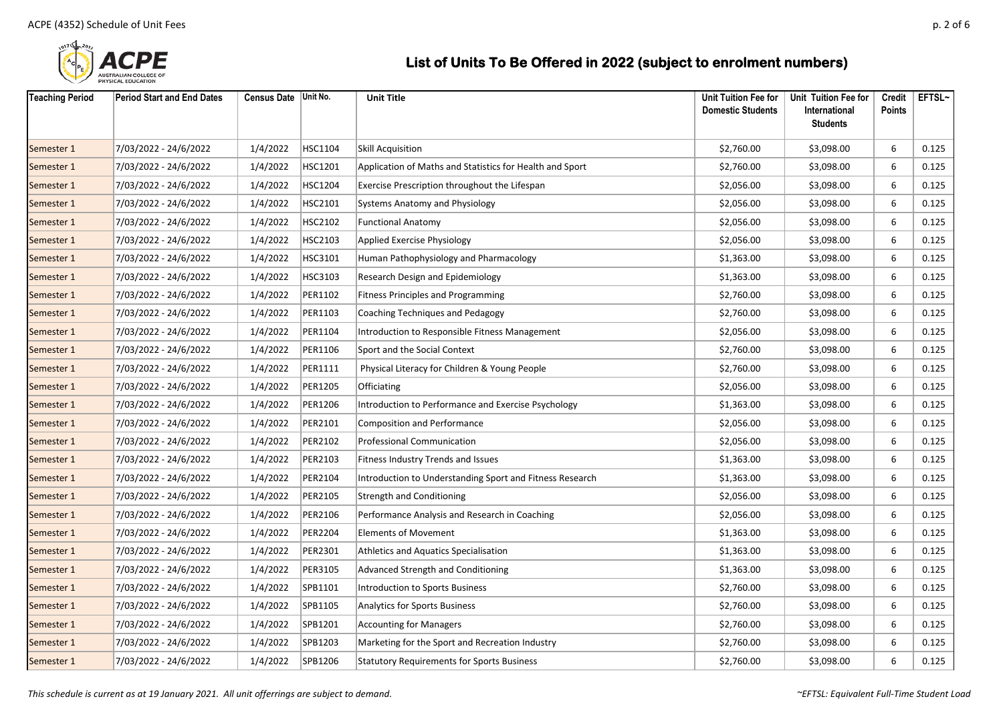

| <b>Teaching Period</b> | <b>Period Start and End Dates</b> | Census Date Unit No. |         | <b>Unit Title</b>                                        | Unit Tuition Fee for<br><b>Domestic Students</b> | Unit Tuition Fee for<br>International<br><b>Students</b> | <b>Credit</b><br><b>Points</b> | EFTSL~ |
|------------------------|-----------------------------------|----------------------|---------|----------------------------------------------------------|--------------------------------------------------|----------------------------------------------------------|--------------------------------|--------|
| Semester 1             | 7/03/2022 - 24/6/2022             | 1/4/2022             | HSC1104 | Skill Acquisition                                        | \$2,760.00                                       | \$3,098.00                                               | 6                              | 0.125  |
| Semester 1             | 7/03/2022 - 24/6/2022             | 1/4/2022             | HSC1201 | Application of Maths and Statistics for Health and Sport | \$2,760.00                                       | \$3,098.00                                               | 6                              | 0.125  |
| Semester 1             | 7/03/2022 - 24/6/2022             | 1/4/2022             | HSC1204 | Exercise Prescription throughout the Lifespan            | \$2,056.00                                       | \$3,098.00                                               | 6                              | 0.125  |
| Semester 1             | 7/03/2022 - 24/6/2022             | 1/4/2022             | HSC2101 | <b>Systems Anatomy and Physiology</b>                    | \$2,056.00                                       | \$3,098.00                                               | 6                              | 0.125  |
| Semester 1             | 7/03/2022 - 24/6/2022             | 1/4/2022             | HSC2102 | <b>Functional Anatomy</b>                                | \$2,056.00                                       | \$3,098.00                                               | 6                              | 0.125  |
| Semester 1             | 7/03/2022 - 24/6/2022             | 1/4/2022             | HSC2103 | Applied Exercise Physiology                              | \$2,056.00                                       | \$3,098.00                                               | 6                              | 0.125  |
| Semester 1             | 7/03/2022 - 24/6/2022             | 1/4/2022             | HSC3101 | Human Pathophysiology and Pharmacology                   | \$1,363.00                                       | \$3,098.00                                               | 6                              | 0.125  |
| Semester 1             | 7/03/2022 - 24/6/2022             | 1/4/2022             | HSC3103 | Research Design and Epidemiology                         | \$1,363.00                                       | \$3,098.00                                               | 6                              | 0.125  |
| Semester 1             | 7/03/2022 - 24/6/2022             | 1/4/2022             | PER1102 | <b>Fitness Principles and Programming</b>                | \$2,760.00                                       | \$3,098.00                                               | 6                              | 0.125  |
| Semester 1             | 7/03/2022 - 24/6/2022             | 1/4/2022             | PER1103 | Coaching Techniques and Pedagogy                         | \$2,760.00                                       | \$3,098.00                                               | 6                              | 0.125  |
| Semester 1             | 7/03/2022 - 24/6/2022             | 1/4/2022             | PER1104 | Introduction to Responsible Fitness Management           | \$2,056.00                                       | \$3,098.00                                               | 6                              | 0.125  |
| Semester 1             | 7/03/2022 - 24/6/2022             | 1/4/2022             | PER1106 | Sport and the Social Context                             | \$2,760.00                                       | \$3,098.00                                               | 6                              | 0.125  |
| Semester 1             | 7/03/2022 - 24/6/2022             | 1/4/2022             | PER1111 | Physical Literacy for Children & Young People            | \$2,760.00                                       | \$3,098.00                                               | 6                              | 0.125  |
| Semester 1             | 7/03/2022 - 24/6/2022             | 1/4/2022             | PER1205 | Officiating                                              | \$2,056.00                                       | \$3,098.00                                               | 6                              | 0.125  |
| Semester 1             | 7/03/2022 - 24/6/2022             | 1/4/2022             | PER1206 | Introduction to Performance and Exercise Psychology      | \$1,363.00                                       | \$3,098.00                                               | 6                              | 0.125  |
| Semester 1             | 7/03/2022 - 24/6/2022             | 1/4/2022             | PER2101 | <b>Composition and Performance</b>                       | \$2,056.00                                       | \$3,098.00                                               | 6                              | 0.125  |
| Semester 1             | 7/03/2022 - 24/6/2022             | 1/4/2022             | PER2102 | <b>Professional Communication</b>                        | \$2,056.00                                       | \$3,098.00                                               | 6                              | 0.125  |
| Semester 1             | 7/03/2022 - 24/6/2022             | 1/4/2022             | PER2103 | Fitness Industry Trends and Issues                       | \$1,363.00                                       | \$3,098.00                                               | 6                              | 0.125  |
| Semester 1             | 7/03/2022 - 24/6/2022             | 1/4/2022             | PER2104 | Introduction to Understanding Sport and Fitness Research | \$1,363.00                                       | \$3,098.00                                               | 6                              | 0.125  |
| Semester 1             | 7/03/2022 - 24/6/2022             | 1/4/2022             | PER2105 | <b>Strength and Conditioning</b>                         | \$2,056.00                                       | \$3,098.00                                               | 6                              | 0.125  |
| Semester 1             | 7/03/2022 - 24/6/2022             | 1/4/2022             | PER2106 | Performance Analysis and Research in Coaching            | \$2,056.00                                       | \$3,098.00                                               | 6                              | 0.125  |
| Semester 1             | 7/03/2022 - 24/6/2022             | 1/4/2022             | PER2204 | <b>Elements of Movement</b>                              | \$1,363.00                                       | \$3,098.00                                               | 6                              | 0.125  |
| Semester 1             | 7/03/2022 - 24/6/2022             | 1/4/2022             | PER2301 | Athletics and Aquatics Specialisation                    | \$1,363.00                                       | \$3,098.00                                               | 6                              | 0.125  |
| Semester 1             | 7/03/2022 - 24/6/2022             | 1/4/2022             | PER3105 | Advanced Strength and Conditioning                       | \$1,363.00                                       | \$3,098.00                                               | 6                              | 0.125  |
| Semester 1             | 7/03/2022 - 24/6/2022             | 1/4/2022             | SPB1101 | Introduction to Sports Business                          | \$2,760.00                                       | \$3,098.00                                               | 6                              | 0.125  |
| Semester 1             | 7/03/2022 - 24/6/2022             | 1/4/2022             | SPB1105 | <b>Analytics for Sports Business</b>                     | \$2,760.00                                       | \$3,098.00                                               | 6                              | 0.125  |
| Semester 1             | 7/03/2022 - 24/6/2022             | 1/4/2022             | SPB1201 | <b>Accounting for Managers</b>                           | \$2,760.00                                       | \$3,098.00                                               | 6                              | 0.125  |
| Semester 1             | 7/03/2022 - 24/6/2022             | 1/4/2022             | SPB1203 | Marketing for the Sport and Recreation Industry          | \$2,760.00                                       | \$3,098.00                                               | 6                              | 0.125  |
| Semester 1             | 7/03/2022 - 24/6/2022             | 1/4/2022             | SPB1206 | <b>Statutory Requirements for Sports Business</b>        | \$2,760.00                                       | \$3,098.00                                               | 6                              | 0.125  |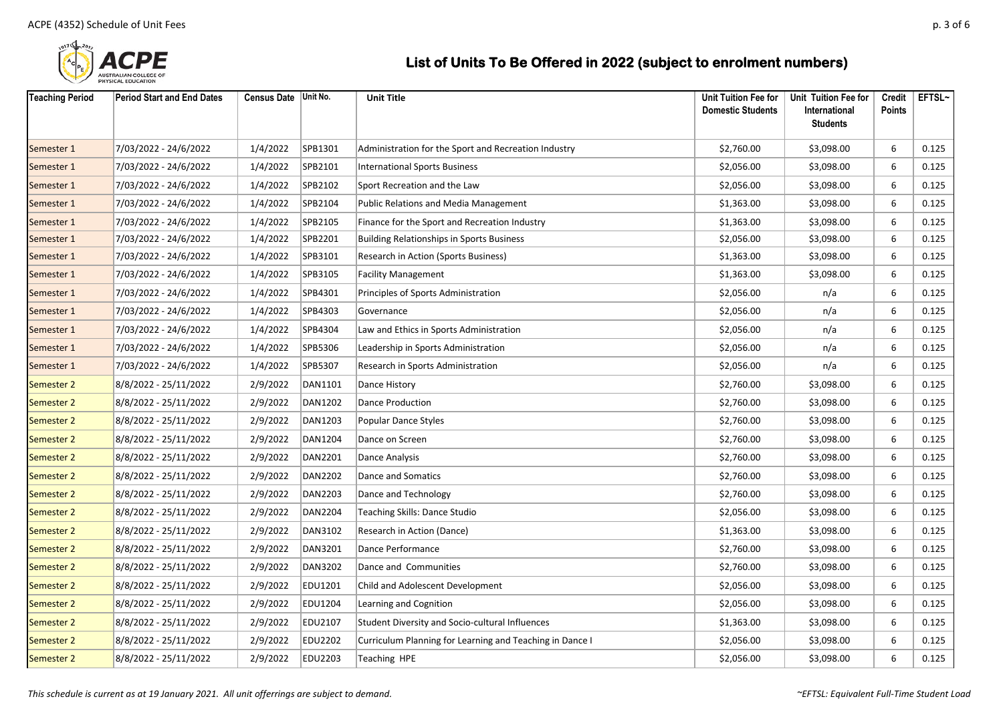

| <b>Teaching Period</b> | <b>Period Start and End Dates</b> | Census Date Unit No. |                | <b>Unit Title</b>                                        | <b>Unit Tuition Fee for</b><br><b>Domestic Students</b> | Unit Tuition Fee for<br>International | Credit<br><b>Points</b> | EFTSL~ |
|------------------------|-----------------------------------|----------------------|----------------|----------------------------------------------------------|---------------------------------------------------------|---------------------------------------|-------------------------|--------|
|                        |                                   |                      |                |                                                          |                                                         | <b>Students</b>                       |                         |        |
| Semester 1             | 7/03/2022 - 24/6/2022             | 1/4/2022             | SPB1301        | Administration for the Sport and Recreation Industry     | \$2,760.00                                              | \$3,098.00                            | 6                       | 0.125  |
| Semester 1             | 7/03/2022 - 24/6/2022             | 1/4/2022             | SPB2101        | <b>International Sports Business</b>                     | \$2,056.00                                              | \$3,098.00                            | 6                       | 0.125  |
| Semester 1             | 7/03/2022 - 24/6/2022             | 1/4/2022             | SPB2102        | Sport Recreation and the Law                             | \$2,056.00                                              | \$3,098.00                            | 6                       | 0.125  |
| Semester 1             | 7/03/2022 - 24/6/2022             | 1/4/2022             | SPB2104        | <b>Public Relations and Media Management</b>             | \$1,363.00                                              | \$3,098.00                            | 6                       | 0.125  |
| Semester 1             | 7/03/2022 - 24/6/2022             | 1/4/2022             | SPB2105        | Finance for the Sport and Recreation Industry            | \$1,363.00                                              | \$3,098.00                            | 6                       | 0.125  |
| Semester 1             | 7/03/2022 - 24/6/2022             | 1/4/2022             | SPB2201        | <b>Building Relationships in Sports Business</b>         | \$2,056.00                                              | \$3,098.00                            | 6                       | 0.125  |
| Semester 1             | 7/03/2022 - 24/6/2022             | 1/4/2022             | SPB3101        | Research in Action (Sports Business)                     | \$1,363.00                                              | \$3,098.00                            | 6                       | 0.125  |
| Semester 1             | 7/03/2022 - 24/6/2022             | 1/4/2022             | SPB3105        | <b>Facility Management</b>                               | \$1,363.00                                              | \$3,098.00                            | 6                       | 0.125  |
| Semester 1             | 7/03/2022 - 24/6/2022             | 1/4/2022             | SPB4301        | Principles of Sports Administration                      | \$2,056.00                                              | n/a                                   | 6                       | 0.125  |
| Semester 1             | 7/03/2022 - 24/6/2022             | 1/4/2022             | SPB4303        | Governance                                               | \$2,056.00                                              | n/a                                   | 6                       | 0.125  |
| Semester 1             | 7/03/2022 - 24/6/2022             | 1/4/2022             | SPB4304        | Law and Ethics in Sports Administration                  | \$2,056.00                                              | n/a                                   | 6                       | 0.125  |
| Semester 1             | 7/03/2022 - 24/6/2022             | 1/4/2022             | SPB5306        | Leadership in Sports Administration                      | \$2,056.00                                              | n/a                                   | 6                       | 0.125  |
| Semester 1             | 7/03/2022 - 24/6/2022             | 1/4/2022             | SPB5307        | Research in Sports Administration                        | \$2,056.00                                              | n/a                                   | 6                       | 0.125  |
| Semester 2             | 8/8/2022 - 25/11/2022             | 2/9/2022             | DAN1101        | Dance History                                            | \$2,760.00                                              | \$3,098.00                            | 6                       | 0.125  |
| <b>Semester 2</b>      | 8/8/2022 - 25/11/2022             | 2/9/2022             | DAN1202        | Dance Production                                         | \$2,760.00                                              | \$3,098.00                            | 6                       | 0.125  |
| Semester 2             | 8/8/2022 - 25/11/2022             | 2/9/2022             | DAN1203        | <b>Popular Dance Styles</b>                              | \$2,760.00                                              | \$3,098.00                            | 6                       | 0.125  |
| Semester 2             | 8/8/2022 - 25/11/2022             | 2/9/2022             | DAN1204        | Dance on Screen                                          | \$2,760.00                                              | \$3,098.00                            | 6                       | 0.125  |
| <b>Semester 2</b>      | 8/8/2022 - 25/11/2022             | 2/9/2022             | DAN2201        | Dance Analysis                                           | \$2,760.00                                              | \$3,098.00                            | 6                       | 0.125  |
| <b>Semester 2</b>      | 8/8/2022 - 25/11/2022             | 2/9/2022             | DAN2202        | Dance and Somatics                                       | \$2,760.00                                              | \$3,098.00                            | 6                       | 0.125  |
| Semester 2             | 8/8/2022 - 25/11/2022             | 2/9/2022             | <b>DAN2203</b> | Dance and Technology                                     | \$2,760.00                                              | \$3,098.00                            | 6                       | 0.125  |
| <b>Semester 2</b>      | 8/8/2022 - 25/11/2022             | 2/9/2022             | DAN2204        | Teaching Skills: Dance Studio                            | \$2,056.00                                              | \$3,098.00                            | 6                       | 0.125  |
| Semester 2             | 8/8/2022 - 25/11/2022             | 2/9/2022             | DAN3102        | Research in Action (Dance)                               | \$1,363.00                                              | \$3,098.00                            | 6                       | 0.125  |
| <b>Semester 2</b>      | 8/8/2022 - 25/11/2022             | 2/9/2022             | DAN3201        | Dance Performance                                        | \$2,760.00                                              | \$3,098.00                            | 6                       | 0.125  |
| Semester 2             | 8/8/2022 - 25/11/2022             | 2/9/2022             | <b>DAN3202</b> | Dance and Communities                                    | \$2,760.00                                              | \$3,098.00                            | 6                       | 0.125  |
| <b>Semester 2</b>      | 8/8/2022 - 25/11/2022             | 2/9/2022             | EDU1201        | Child and Adolescent Development                         | \$2,056.00                                              | \$3,098.00                            | 6                       | 0.125  |
| <b>Semester 2</b>      | 8/8/2022 - 25/11/2022             | 2/9/2022             | EDU1204        | Learning and Cognition                                   | \$2,056.00                                              | \$3,098.00                            | 6                       | 0.125  |
| <b>Semester 2</b>      | 8/8/2022 - 25/11/2022             | 2/9/2022             | EDU2107        | Student Diversity and Socio-cultural Influences          | \$1,363.00                                              | \$3,098.00                            | 6                       | 0.125  |
| <b>Semester 2</b>      | 8/8/2022 - 25/11/2022             | 2/9/2022             | EDU2202        | Curriculum Planning for Learning and Teaching in Dance I | \$2,056.00                                              | \$3,098.00                            | 6                       | 0.125  |
| <b>Semester 2</b>      | 8/8/2022 - 25/11/2022             | 2/9/2022             | EDU2203        | Teaching HPE                                             | \$2,056.00                                              | \$3,098.00                            | 6                       | 0.125  |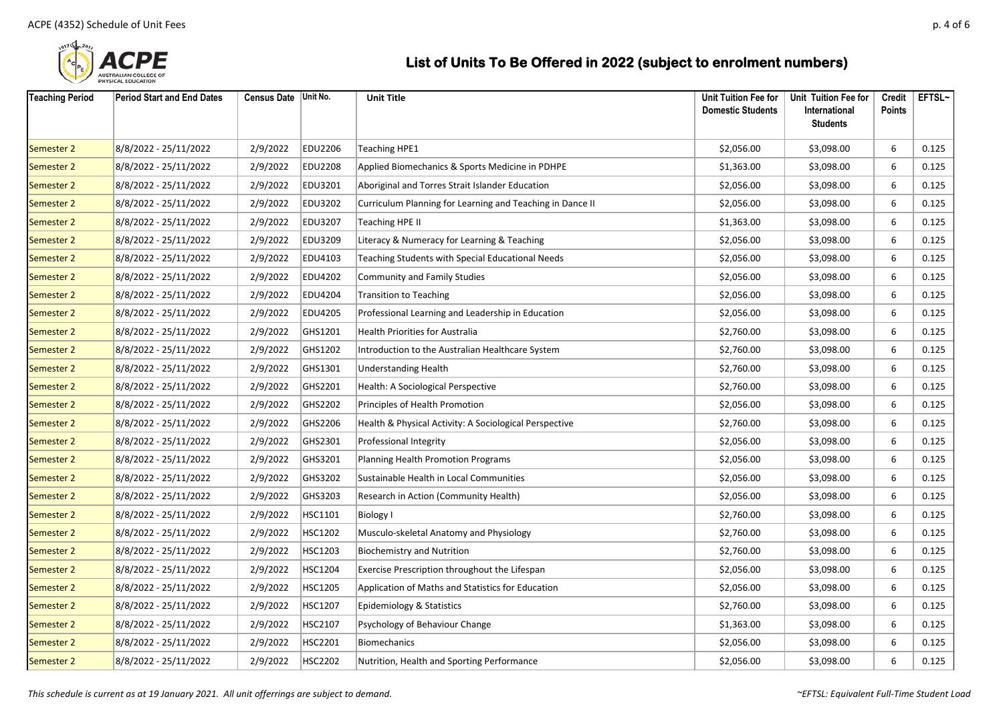

| <b>Teaching Period</b> | <b>Period Start and End Dates</b> | Census Date Unit No. |                | <b>Unit Title</b>                                         | Unit Tuition Fee for<br><b>Domestic Students</b> | Unit Tuition Fee for<br>International<br><b>Students</b> | Credit<br><b>Points</b> | EFTSL~ |
|------------------------|-----------------------------------|----------------------|----------------|-----------------------------------------------------------|--------------------------------------------------|----------------------------------------------------------|-------------------------|--------|
| <b>Semester 2</b>      | 8/8/2022 - 25/11/2022             | 2/9/2022             | EDU2206        | <b>Teaching HPE1</b>                                      | \$2,056.00                                       | \$3,098.00                                               | 6                       | 0.125  |
| <b>Semester 2</b>      | 8/8/2022 - 25/11/2022             | 2/9/2022             | <b>EDU2208</b> | Applied Biomechanics & Sports Medicine in PDHPE           | \$1,363.00                                       | \$3,098.00                                               | 6                       | 0.125  |
| <b>Semester 2</b>      | 8/8/2022 - 25/11/2022             | 2/9/2022             | EDU3201        | Aboriginal and Torres Strait Islander Education           | \$2,056.00                                       | \$3,098.00                                               | 6                       | 0.125  |
| <b>Semester 2</b>      | 8/8/2022 - 25/11/2022             | 2/9/2022             | <b>EDU3202</b> | Curriculum Planning for Learning and Teaching in Dance II | \$2,056.00                                       | \$3,098.00                                               | 6                       | 0.125  |
| <b>Semester 2</b>      | 8/8/2022 - 25/11/2022             | 2/9/2022             | <b>EDU3207</b> | Teaching HPE II                                           | \$1,363.00                                       | \$3,098.00                                               | 6                       | 0.125  |
| <b>Semester 2</b>      | 8/8/2022 - 25/11/2022             | 2/9/2022             | EDU3209        | Literacy & Numeracy for Learning & Teaching               | \$2,056.00                                       | \$3,098.00                                               | 6                       | 0.125  |
| <b>Semester 2</b>      | 8/8/2022 - 25/11/2022             | 2/9/2022             | EDU4103        | <b>Teaching Students with Special Educational Needs</b>   | \$2,056.00                                       | \$3,098.00                                               | 6                       | 0.125  |
| <b>Semester 2</b>      | 8/8/2022 - 25/11/2022             | 2/9/2022             | EDU4202        | <b>Community and Family Studies</b>                       | \$2,056.00                                       | \$3,098.00                                               | 6                       | 0.125  |
| <b>Semester 2</b>      | 8/8/2022 - 25/11/2022             | 2/9/2022             | EDU4204        | <b>Transition to Teaching</b>                             | \$2,056.00                                       | \$3,098.00                                               | 6                       | 0.125  |
| <b>Semester 2</b>      | 8/8/2022 - 25/11/2022             | 2/9/2022             | EDU4205        | Professional Learning and Leadership in Education         | \$2,056.00                                       | \$3,098.00                                               | 6                       | 0.125  |
| <b>Semester 2</b>      | 8/8/2022 - 25/11/2022             | 2/9/2022             | GHS1201        | Health Priorities for Australia                           | \$2,760.00                                       | \$3,098.00                                               | 6                       | 0.125  |
| <b>Semester 2</b>      | 8/8/2022 - 25/11/2022             | 2/9/2022             | GHS1202        | Introduction to the Australian Healthcare System          | \$2,760.00                                       | \$3,098.00                                               | 6                       | 0.125  |
| <b>Semester 2</b>      | 8/8/2022 - 25/11/2022             | 2/9/2022             | GHS1301        | Understanding Health                                      | \$2,760.00                                       | \$3,098.00                                               | 6                       | 0.125  |
| <b>Semester 2</b>      | 8/8/2022 - 25/11/2022             | 2/9/2022             | GHS2201        | Health: A Sociological Perspective                        | \$2,760.00                                       | \$3,098.00                                               | 6                       | 0.125  |
| <b>Semester 2</b>      | 8/8/2022 - 25/11/2022             | 2/9/2022             | GHS2202        | Principles of Health Promotion                            | \$2,056.00                                       | \$3,098.00                                               | 6                       | 0.125  |
| <b>Semester 2</b>      | 8/8/2022 - 25/11/2022             | 2/9/2022             | GHS2206        | Health & Physical Activity: A Sociological Perspective    | \$2,760.00                                       | \$3,098.00                                               | 6                       | 0.125  |
| <b>Semester 2</b>      | 8/8/2022 - 25/11/2022             | 2/9/2022             | GHS2301        | Professional Integrity                                    | \$2,056.00                                       | \$3,098.00                                               | 6                       | 0.125  |
| <b>Semester 2</b>      | 8/8/2022 - 25/11/2022             | 2/9/2022             | GHS3201        | Planning Health Promotion Programs                        | \$2,056.00                                       | \$3,098.00                                               | 6                       | 0.125  |
| <b>Semester 2</b>      | 8/8/2022 - 25/11/2022             | 2/9/2022             | GHS3202        | Sustainable Health in Local Communities                   | \$2,056.00                                       | \$3,098.00                                               | 6                       | 0.125  |
| <b>Semester 2</b>      | 8/8/2022 - 25/11/2022             | 2/9/2022             | GHS3203        | Research in Action (Community Health)                     | \$2,056.00                                       | \$3,098.00                                               | 6                       | 0.125  |
| <b>Semester 2</b>      | 8/8/2022 - 25/11/2022             | 2/9/2022             | HSC1101        | <b>Biology I</b>                                          | \$2,760.00                                       | \$3,098.00                                               | 6                       | 0.125  |
| <b>Semester 2</b>      | 8/8/2022 - 25/11/2022             | 2/9/2022             | <b>HSC1202</b> | Musculo-skeletal Anatomy and Physiology                   | \$2,760.00                                       | \$3,098.00                                               | 6                       | 0.125  |
| <b>Semester 2</b>      | 8/8/2022 - 25/11/2022             | 2/9/2022             | HSC1203        | <b>Biochemistry and Nutrition</b>                         | \$2,760.00                                       | \$3,098.00                                               | 6                       | 0.125  |
| <b>Semester 2</b>      | 8/8/2022 - 25/11/2022             | 2/9/2022             | <b>HSC1204</b> | Exercise Prescription throughout the Lifespan             | \$2,056.00                                       | \$3,098.00                                               | 6                       | 0.125  |
| <b>Semester 2</b>      | 8/8/2022 - 25/11/2022             | 2/9/2022             | <b>HSC1205</b> | Application of Maths and Statistics for Education         | \$2,056.00                                       | \$3,098.00                                               | 6                       | 0.125  |
| <b>Semester 2</b>      | 8/8/2022 - 25/11/2022             | 2/9/2022             | <b>HSC1207</b> | Epidemiology & Statistics                                 | \$2,760.00                                       | \$3,098.00                                               | 6                       | 0.125  |
| <b>Semester 2</b>      | 8/8/2022 - 25/11/2022             | 2/9/2022             | HSC2107        | Psychology of Behaviour Change                            | \$1,363.00                                       | \$3,098.00                                               | 6                       | 0.125  |
| <b>Semester 2</b>      | 8/8/2022 - 25/11/2022             | 2/9/2022             | HSC2201        | Biomechanics                                              | \$2,056.00                                       | \$3,098.00                                               | 6                       | 0.125  |
| <b>Semester 2</b>      | 8/8/2022 - 25/11/2022             | 2/9/2022             | <b>HSC2202</b> | Nutrition, Health and Sporting Performance                | \$2,056.00                                       | \$3,098.00                                               | 6                       | 0.125  |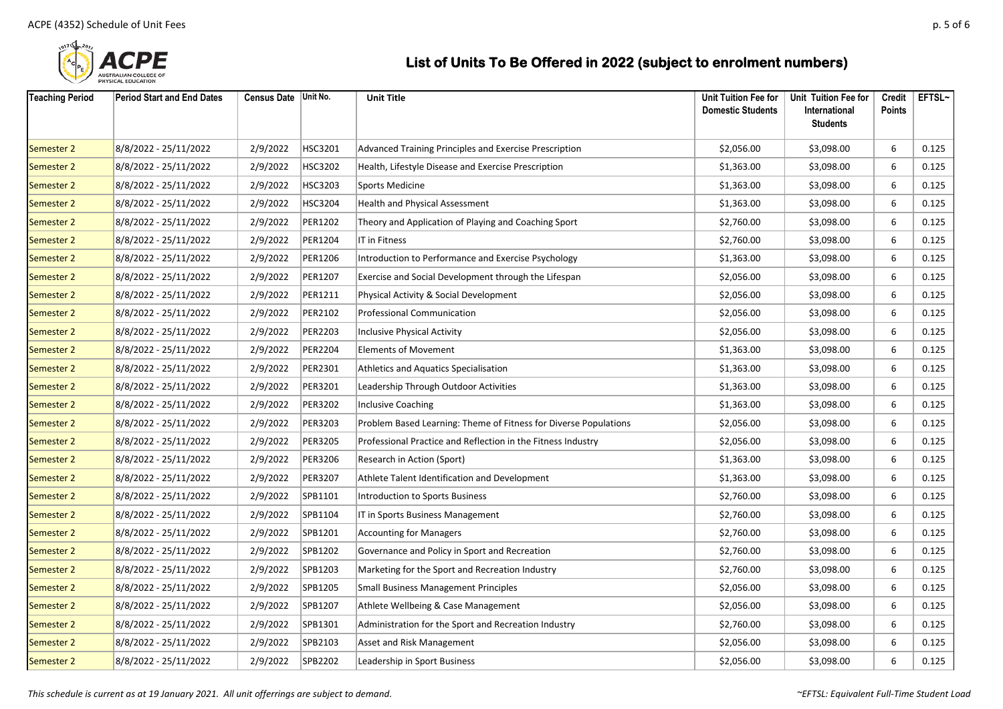

| <b>Teaching Period</b> | <b>Period Start and End Dates</b> | Census Date   Unit No. |         | <b>Unit Title</b>                                                | Unit Tuition Fee for<br><b>Domestic Students</b> | Unit Tuition Fee for<br>International<br><b>Students</b> | Credit<br><b>Points</b> | EFTSL~ |
|------------------------|-----------------------------------|------------------------|---------|------------------------------------------------------------------|--------------------------------------------------|----------------------------------------------------------|-------------------------|--------|
| Semester 2             | 8/8/2022 - 25/11/2022             | 2/9/2022               | HSC3201 | Advanced Training Principles and Exercise Prescription           | \$2,056.00                                       | \$3,098.00                                               | 6                       | 0.125  |
| Semester 2             | 8/8/2022 - 25/11/2022             | 2/9/2022               | HSC3202 | Health, Lifestyle Disease and Exercise Prescription              | \$1,363.00                                       | \$3,098.00                                               | 6                       | 0.125  |
| Semester 2             | 8/8/2022 - 25/11/2022             | 2/9/2022               | HSC3203 | Sports Medicine                                                  | \$1,363.00                                       | \$3,098.00                                               | 6                       | 0.125  |
| Semester 2             | 8/8/2022 - 25/11/2022             | 2/9/2022               | HSC3204 | Health and Physical Assessment                                   | \$1,363.00                                       | \$3,098.00                                               | 6                       | 0.125  |
| Semester 2             | 8/8/2022 - 25/11/2022             | 2/9/2022               | PER1202 | Theory and Application of Playing and Coaching Sport             | \$2,760.00                                       | \$3,098.00                                               | 6                       | 0.125  |
| Semester 2             | 8/8/2022 - 25/11/2022             | 2/9/2022               | PER1204 | IT in Fitness                                                    | \$2,760.00                                       | \$3,098.00                                               | 6                       | 0.125  |
| Semester 2             | 8/8/2022 - 25/11/2022             | 2/9/2022               | PER1206 | Introduction to Performance and Exercise Psychology              | \$1,363.00                                       | \$3,098.00                                               | 6                       | 0.125  |
| Semester 2             | 8/8/2022 - 25/11/2022             | 2/9/2022               | PER1207 | Exercise and Social Development through the Lifespan             | \$2,056.00                                       | \$3,098.00                                               | 6                       | 0.125  |
| Semester 2             | 8/8/2022 - 25/11/2022             | 2/9/2022               | PER1211 | Physical Activity & Social Development                           | \$2,056.00                                       | \$3,098.00                                               | 6                       | 0.125  |
| Semester 2             | 8/8/2022 - 25/11/2022             | 2/9/2022               | PER2102 | <b>Professional Communication</b>                                | \$2,056.00                                       | \$3,098.00                                               | 6                       | 0.125  |
| Semester 2             | 8/8/2022 - 25/11/2022             | 2/9/2022               | PER2203 | <b>Inclusive Physical Activity</b>                               | \$2,056.00                                       | \$3,098.00                                               | 6                       | 0.125  |
| Semester 2             | 8/8/2022 - 25/11/2022             | 2/9/2022               | PER2204 | <b>Elements of Movement</b>                                      | \$1,363.00                                       | \$3,098.00                                               | 6                       | 0.125  |
| Semester 2             | 8/8/2022 - 25/11/2022             | 2/9/2022               | PER2301 | Athletics and Aquatics Specialisation                            | \$1,363.00                                       | \$3,098.00                                               | 6                       | 0.125  |
| Semester 2             | 8/8/2022 - 25/11/2022             | 2/9/2022               | PER3201 | Leadership Through Outdoor Activities                            | \$1,363.00                                       | \$3,098.00                                               | 6                       | 0.125  |
| Semester 2             | 8/8/2022 - 25/11/2022             | 2/9/2022               | PER3202 | <b>Inclusive Coaching</b>                                        | \$1,363.00                                       | \$3,098.00                                               | 6                       | 0.125  |
| Semester 2             | 8/8/2022 - 25/11/2022             | 2/9/2022               | PER3203 | Problem Based Learning: Theme of Fitness for Diverse Populations | \$2,056.00                                       | \$3,098.00                                               | 6                       | 0.125  |
| Semester 2             | 8/8/2022 - 25/11/2022             | 2/9/2022               | PER3205 | Professional Practice and Reflection in the Fitness Industry     | \$2,056.00                                       | \$3,098.00                                               | 6                       | 0.125  |
| Semester 2             | 8/8/2022 - 25/11/2022             | 2/9/2022               | PER3206 | Research in Action (Sport)                                       | \$1,363.00                                       | \$3,098.00                                               | 6                       | 0.125  |
| Semester 2             | 8/8/2022 - 25/11/2022             | 2/9/2022               | PER3207 | Athlete Talent Identification and Development                    | \$1,363.00                                       | \$3,098.00                                               | 6                       | 0.125  |
| Semester 2             | 8/8/2022 - 25/11/2022             | 2/9/2022               | SPB1101 | <b>Introduction to Sports Business</b>                           | \$2,760.00                                       | \$3,098.00                                               | 6                       | 0.125  |
| Semester 2             | 8/8/2022 - 25/11/2022             | 2/9/2022               | SPB1104 | IT in Sports Business Management                                 | \$2,760.00                                       | \$3,098.00                                               | 6                       | 0.125  |
| Semester 2             | 8/8/2022 - 25/11/2022             | 2/9/2022               | SPB1201 | <b>Accounting for Managers</b>                                   | \$2,760.00                                       | \$3,098.00                                               | 6                       | 0.125  |
| Semester 2             | 8/8/2022 - 25/11/2022             | 2/9/2022               | SPB1202 | Governance and Policy in Sport and Recreation                    | \$2,760.00                                       | \$3,098.00                                               | 6                       | 0.125  |
| Semester 2             | 8/8/2022 - 25/11/2022             | 2/9/2022               | SPB1203 | Marketing for the Sport and Recreation Industry                  | \$2,760.00                                       | \$3,098.00                                               | 6                       | 0.125  |
| Semester 2             | 8/8/2022 - 25/11/2022             | 2/9/2022               | SPB1205 | <b>Small Business Management Principles</b>                      | \$2,056.00                                       | \$3,098.00                                               | 6                       | 0.125  |
| Semester 2             | 8/8/2022 - 25/11/2022             | 2/9/2022               | SPB1207 | Athlete Wellbeing & Case Management                              | \$2,056.00                                       | \$3,098.00                                               | 6                       | 0.125  |
| Semester 2             | 8/8/2022 - 25/11/2022             | 2/9/2022               | SPB1301 | Administration for the Sport and Recreation Industry             | \$2,760.00                                       | \$3,098.00                                               | 6                       | 0.125  |
| Semester 2             | 8/8/2022 - 25/11/2022             | 2/9/2022               | SPB2103 | Asset and Risk Management                                        | \$2,056.00                                       | \$3,098.00                                               | 6                       | 0.125  |
| Semester 2             | 8/8/2022 - 25/11/2022             | 2/9/2022               | SPB2202 | Leadership in Sport Business                                     | \$2,056.00                                       | \$3,098.00                                               | 6                       | 0.125  |